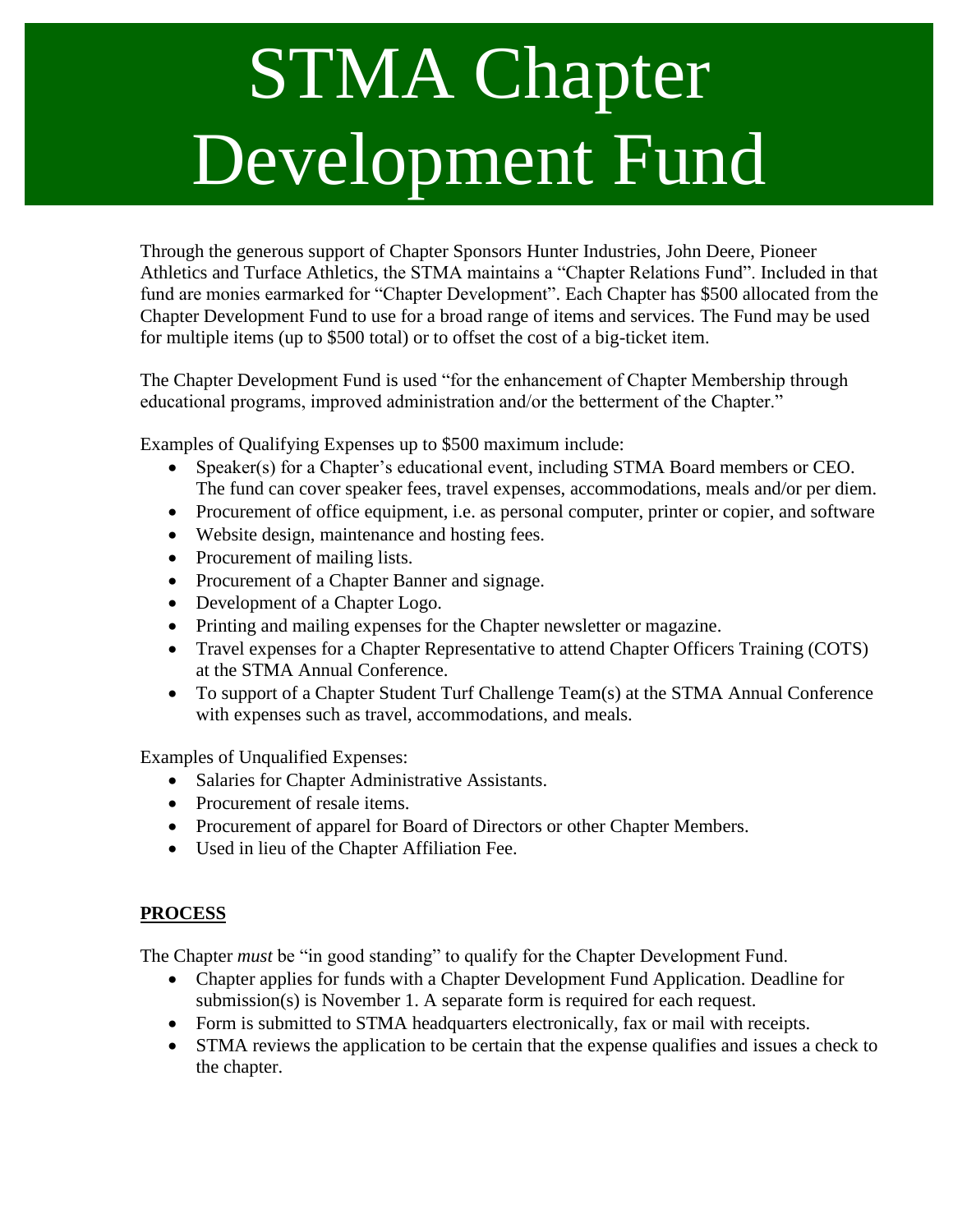## STMA Chapter Development Fund

Through the generous support of Chapter Sponsors Hunter Industries, John Deere, Pioneer Athletics and Turface Athletics, the STMA maintains a "Chapter Relations Fund". Included in that fund are monies earmarked for "Chapter Development". Each Chapter has \$500 allocated from the Chapter Development Fund to use for a broad range of items and services. The Fund may be used for multiple items (up to \$500 total) or to offset the cost of a big-ticket item.

The Chapter Development Fund is used "for the enhancement of Chapter Membership through educational programs, improved administration and/or the betterment of the Chapter."

Examples of Qualifying Expenses up to \$500 maximum include:

- Speaker(s) for a Chapter's educational event, including STMA Board members or CEO. The fund can cover speaker fees, travel expenses, accommodations, meals and/or per diem.
- Procurement of office equipment, i.e. as personal computer, printer or copier, and software
- Website design, maintenance and hosting fees.
- Procurement of mailing lists.
- Procurement of a Chapter Banner and signage.
- Development of a Chapter Logo.
- Printing and mailing expenses for the Chapter newsletter or magazine.
- Travel expenses for a Chapter Representative to attend Chapter Officers Training (COTS) at the STMA Annual Conference.
- To support of a Chapter Student Turf Challenge Team(s) at the STMA Annual Conference with expenses such as travel, accommodations, and meals.

Examples of Unqualified Expenses:

- Salaries for Chapter Administrative Assistants.
- Procurement of resale items.
- Procurement of apparel for Board of Directors or other Chapter Members.
- Used in lieu of the Chapter Affiliation Fee.

## **PROCESS**

The Chapter *must* be "in good standing" to qualify for the Chapter Development Fund.

- Chapter applies for funds with a Chapter Development Fund Application. Deadline for submission(s) is November 1. A separate form is required for each request.
- Form is submitted to STMA headquarters electronically, fax or mail with receipts.
- STMA reviews the application to be certain that the expense qualifies and issues a check to the chapter.